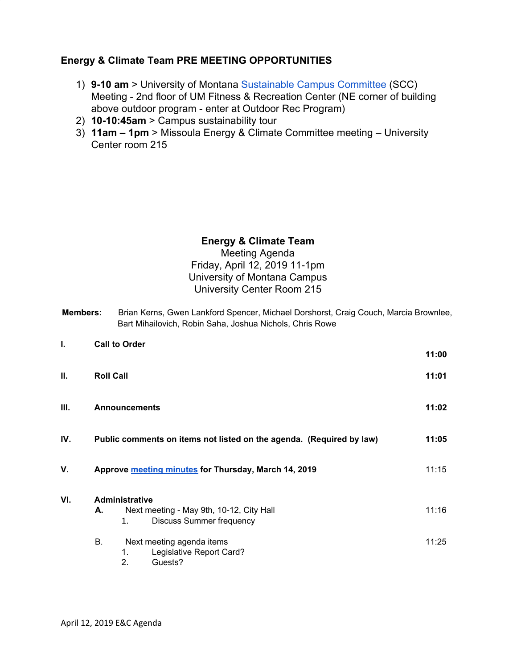## **Energy & Climate Team PRE MEETING OPPORTUNITIES**

- 1) **9-10 am** > University of Montana [Sustainable Campus Committee](http://www.umt.edu/sustainability/get-involved/Sustainable%20Campus%20Committee/default.php) (SCC) Meeting - 2nd floor of UM Fitness & Recreation Center (NE corner of building above outdoor program - enter at Outdoor Rec Program)
- 2) **10-10:45am** > Campus sustainability tour
- 3) **11am 1pm** > Missoula Energy & Climate Committee meeting University Center room 215

## **Energy & Climate Team** Meeting Agenda Friday, April 12, 2019 11-1pm University of Montana Campus University Center Room 215

| <b>Members:</b> | Brian Kerns, Gwen Lankford Spencer, Michael Dorshorst, Craig Couch, Marcia Brownlee, |
|-----------------|--------------------------------------------------------------------------------------|
|                 | Bart Mihailovich, Robin Saha, Joshua Nichols, Chris Rowe                             |

| I.  | <b>Call to Order</b>                                                                                             | 11:00 |
|-----|------------------------------------------------------------------------------------------------------------------|-------|
| ΙΙ. | <b>Roll Call</b>                                                                                                 | 11:01 |
| Ш.  | <b>Announcements</b>                                                                                             | 11:02 |
| IV. | Public comments on items not listed on the agenda. (Required by law)                                             | 11:05 |
| V.  | Approve meeting minutes for Thursday, March 14, 2019                                                             | 11:15 |
| VI. | <b>Administrative</b><br>Next meeting - May 9th, 10-12, City Hall<br>А.<br><b>Discuss Summer frequency</b><br>1. | 11:16 |
|     | В.<br>Next meeting agenda items<br>Legislative Report Card?<br>1.<br>2.<br>Guests?                               | 11:25 |